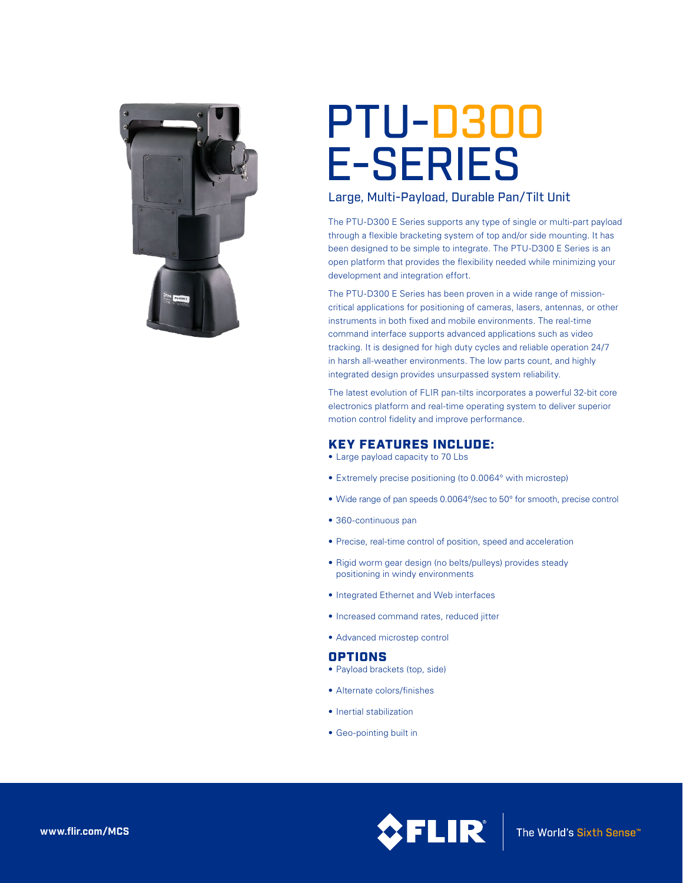

# PTU-D300 E-SERIES

## Large, Multi-Payload, Durable Pan/Tilt Unit

The PTU-D300 E Series supports any type of single or multi-part payload through a flexible bracketing system of top and/or side mounting. It has been designed to be simple to integrate. The PTU-D300 E Series is an open platform that provides the flexibility needed while minimizing your development and integration effort.

The PTU-D300 E Series has been proven in a wide range of missioncritical applications for positioning of cameras, lasers, antennas, or other instruments in both fixed and mobile environments. The real-time command interface supports advanced applications such as video tracking. It is designed for high duty cycles and reliable operation 24/7 in harsh all-weather environments. The low parts count, and highly integrated design provides unsurpassed system reliability.

The latest evolution of FLIR pan-tilts incorporates a powerful 32-bit core electronics platform and real-time operating system to deliver superior motion control fidelity and improve performance.

## KEY FEATURES INCLUDE:

- Large payload capacity to 70 Lbs
- Extremely precise positioning (to 0.0064° with microstep)
- Wide range of pan speeds 0.0064°/sec to 50° for smooth, precise control
- 360-continuous pan
- Precise, real-time control of position, speed and acceleration
- Rigid worm gear design (no belts/pulleys) provides steady positioning in windy environments
- • Integrated Ethernet and Web interfaces
- • Increased command rates, reduced jitter
- • Advanced microstep control

## OPTIONS

- Payload brackets (top, side)
- • Alternate colors/finishes
- Inertial stabilization
- • Geo-pointing built in